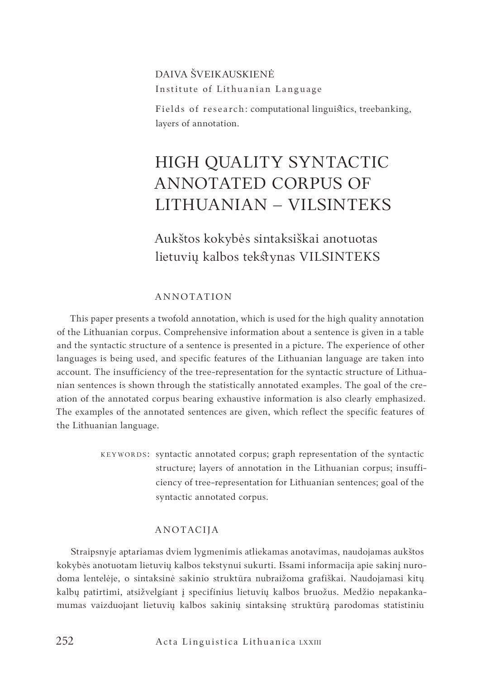# DAIVA ŠVEIKAUSKIENĖ Institute of Lithuanian Language

Fields of research: computational linguistics, treebanking, layers of annotation.

# HIGH QUALITY SYNTACTIC ANNOTATED CORPUS OF LITHUANIAN – VILSINTEKS

# Aukštos kokybės sintaksiškai anotuotas lietuvių kalbos tekstynas VILSINTEKS

#### ANNOTATION

This paper presents a twofold annotation, which is used for the high quality annotation of the Lithuanian corpus. Comprehensive information about a sentence is given in a table and the syntactic structure of a sentence is presented in a picture. The experience of other languages is being used, and specific features of the Lithuanian language are taken into account. The insufficiency of the tree-representation for the syntactic structure of Lithuanian sentences is shown through the statistically annotated examples. The goal of the creation of the annotated corpus bearing exhaustive information is also clearly emphasized. The examples of the annotated sentences are given, which reflect the specific features of the Lithuanian language.

> KEYWORDS: syntactic annotated corpus; graph representation of the syntactic structure; layers of annotation in the Lithuanian corpus; insufficiency of tree-representation for Lithuanian sentences; goal of the syntactic annotated corpus.

#### ANOTACIJA

Straipsnyje aptariamas dviem lygmenimis atliekamas anotavimas, naudojamas aukštos kokybės anotuotam lietuvių kalbos tekstynui sukurti. Išsami informacija apie sakinį nurodoma lentelėje, o sintaksinė sakinio struktūra nubraižoma grafiškai. Naudojamasi kitų kalbų patirtimi, atsižvelgiant į specifinius lietuvių kalbos bruožus. Medžio nepakankamumas vaizduojant lietuvių kalbos sakinių sintaksinę struktūrą parodomas statistiniu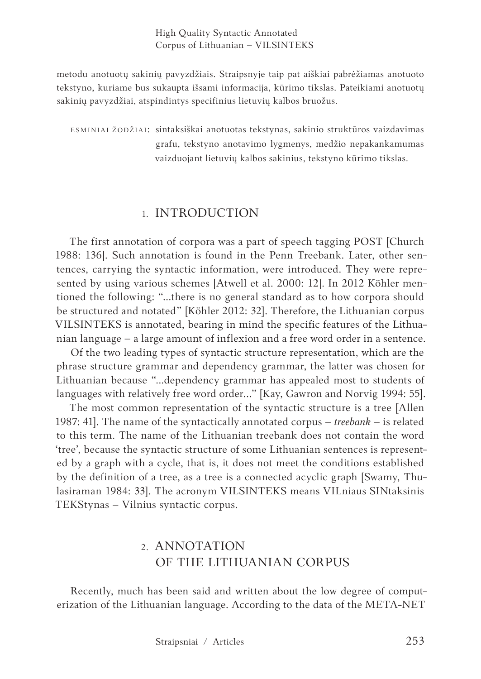High Quality Syntactic Annotated Corpus of Lithuanian – VILSINTEKS

metodu anotuotų sakinių pavyzdžiais. Straipsnyje taip pat aiškiai pabrėžiamas anotuoto tekstyno, kuriame bus sukaupta išsami informacija, kūrimo tikslas. Pateikiami anotuotų sakinių pavyzdžiai, atspindintys specifinius lietuvių kalbos bruožus.

ESMINIAI ŽODŽIAI: sintaksiškai anotuotas tekstynas, sakinio struktūros vaizdavimas grafu, tekstyno anotavimo lygmenys, medžio nepakankamumas vaizduojant lietuvių kalbos sakinius, tekstyno kūrimo tikslas.

### 1. INTRODUCTION

The first annotation of corpora was a part of speech tagging POST [Church 1988: 136]. Such annotation is found in the Penn Treebank. Later, other sentences, carrying the syntactic information, were introduced. They were represented by using various schemes [Atwell et al. 2000: 12]. In 2012 Köhler mentioned the following: "...there is no general standard as to how corpora should be structured and notated" [Köhler 2012: 32]. Therefore, the Lithuanian corpus VILSINTEKS is annotated, bearing in mind the specific features of the Lithuanian language – a large amount of inflexion and a free word order in a sentence.

Of the two leading types of syntactic structure representation, which are the phrase structure grammar and dependency grammar, the latter was chosen for Lithuanian because "...dependency grammar has appealed most to students of languages with relatively free word order…" [Kay, Gawron and Norvig 1994: 55].

The most common representation of the syntactic structure is a tree [Allen 1987: 41]. The name of the syntactically annotated corpus – *treebank* – is related to this term. The name of the Lithuanian treebank does not contain the word 'tree', because the syntactic structure of some Lithuanian sentences is represented by a graph with a cycle, that is, it does not meet the conditions established by the definition of a tree, as a tree is a connected acyclic graph [Swamy, Thulasiraman 1984: 33]. The acronym VILSINTEKS means VILniaus SINtaksinis TEKStynas – Vilnius syntactic corpus.

# 2. ANNOTATION OF THE LITHUANIAN CORPUS

Recently, much has been said and written about the low degree of computerization of the Lithuanian language. According to the data of the META-NET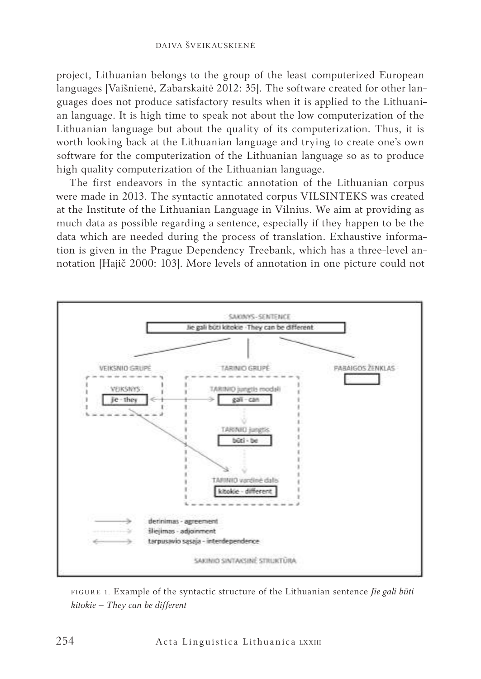project, Lithuanian belongs to the group of the least computerized European languages [Vaišnienė, Zabarskaitė 2012: 35]. The software created for other languages does not produce satisfactory results when it is applied to the Lithuanian language. It is high time to speak not about the low computerization of the Lithuanian language but about the quality of its computerization. Thus, it is worth looking back at the Lithuanian language and trying to create one's own software for the computerization of the Lithuanian language so as to produce high quality computerization of the Lithuanian language.

The first endeavors in the syntactic annotation of the Lithuanian corpus were made in 2013. The syntactic annotated corpus VILSINTEKS was created at the Institute of the Lithuanian Language in Vilnius. We aim at providing as much data as possible regarding a sentence, especially if they happen to be the data which are needed during the process of translation. Exhaustive information is given in the Prague Dependency Treebank, which has a three-level annotation [Hajič 2000: 103]. More levels of annotation in one picture could not



FIGURE 1. Example of the syntactic structure of the Lithuanian sentence *Jie gali būti kitokie – They can be different*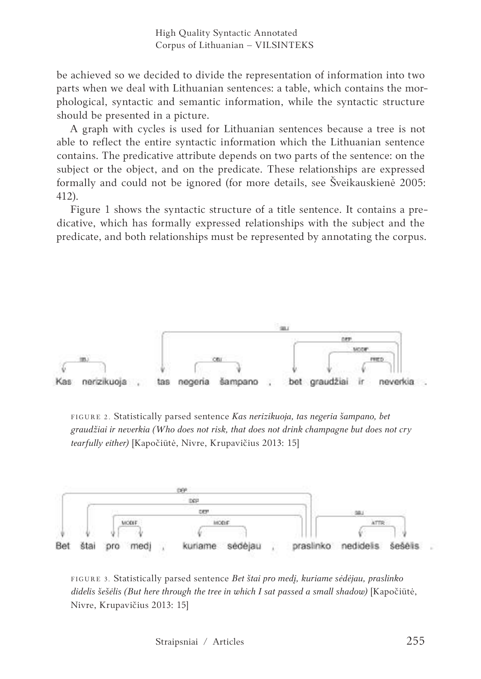be achieved so we decided to divide the representation of information into two parts when we deal with Lithuanian sentences: a table, which contains the morphological, syntactic and semantic information, while the syntactic structure should be presented in a picture.

A graph with cycles is used for Lithuanian sentences because a tree is not able to reflect the entire syntactic information which the Lithuanian sentence contains. The predicative attribute depends on two parts of the sentence: on the subject or the object, and on the predicate. These relationships are expressed formally and could not be ignored (for more details, see Šveikauskienė 2005: 412).

Figure 1 shows the syntactic structure of a title sentence. It contains a predicative, which has formally expressed relationships with the subject and the predicate, and both relationships must be represented by annotating the corpus.



FIGURE 2. Statistically parsed sentence *Kas nerizikuoja, tas negeria šampano, bet graudžiai ir neverkia (Who does not risk, that does not drink champagne but does not cry tearfully either)* [Kapočiūtė, Nivre, Krupavičius 2013: 15]



FIGURE 3. Statistically parsed sentence *Bet štai pro medį, kuriame sėdėjau, praslinko didelis šešėlis (But here through the tree in which I sat passed a small shadow)* [Kapočiūtė, Nivre, Krupavičius 2013: 15]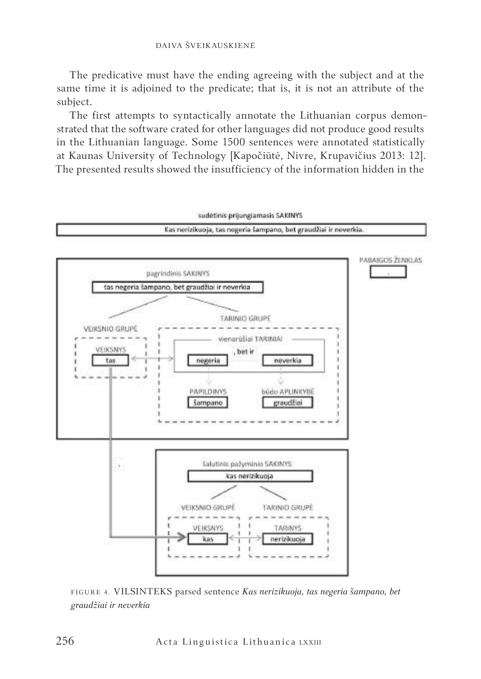The predicative must have the ending agreeing with the subject and at the same time it is adjoined to the predicate; that is, it is not an attribute of the subject.

The first attempts to syntactically annotate the Lithuanian corpus demonstrated that the software crated for other languages did not produce good results in the Lithuanian language. Some 1500 sentences were annotated statistically at Kaunas University of Technology [Kapočiūtė, Nivre, Krupavičius 2013: 12]. The presented results showed the insufficiency of the information hidden in the



FIGURE 4. VILSINTEKS parsed sentence *Kas nerizikuoja, tas negeria šampano, bet graudžiai ir neverkia*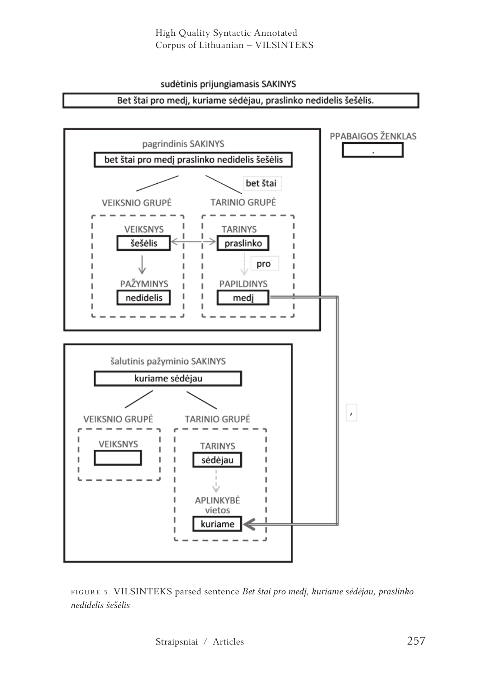#### sudėtinis prijungiamasis SAKINYS

### Bet štai pro medį, kuriame sėdėjau, praslinko nedidelis šešėlis.



FIGURE 5. VILSINTEKS parsed sentence *Bet štai pro medį, kuriame sėdėjau, praslinko nedidelis šešėlis*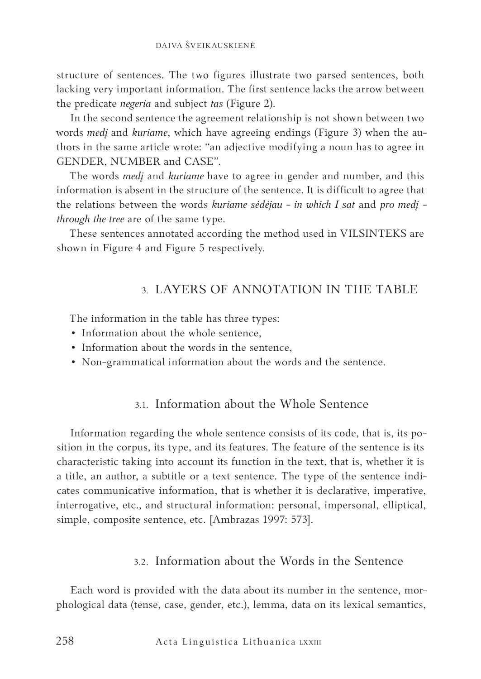structure of sentences. The two figures illustrate two parsed sentences, both lacking very important information. The first sentence lacks the arrow between the predicate *negeria* and subject *tas* (Figure 2).

In the second sentence the agreement relationship is not shown between two words *medį* and *kuriame*, which have agreeing endings (Figure 3) when the authors in the same article wrote: "an adjective modifying a noun has to agree in GENDER, NUMBER and CASE".

The words *medį* and *kuriame* have to agree in gender and number, and this information is absent in the structure of the sentence. It is difficult to agree that the relations between the words *kuriame sėdėjau - in which I sat* and *pro medį through the tree* are of the same type.

These sentences annotated according the method used in VILSINTEKS are shown in Figure 4 and Figure 5 respectively.

## 3. LAYERS OF ANNOTATION IN THE TABLE

The information in the table has three types:

- Information about the whole sentence,
- Information about the words in the sentence,
- Non-grammatical information about the words and the sentence.

### 3.1. Information about the Whole Sentence

Information regarding the whole sentence consists of its code, that is, its position in the corpus, its type, and its features. The feature of the sentence is its characteristic taking into account its function in the text, that is, whether it is a title, an author, a subtitle or a text sentence. The type of the sentence indicates communicative information, that is whether it is declarative, imperative, interrogative, etc., and structural information: personal, impersonal, elliptical, simple, composite sentence, etc. [Ambrazas 1997: 573].

### 3.2. Information about the Words in the Sentence

Each word is provided with the data about its number in the sentence, morphological data (tense, case, gender, etc.), lemma, data on its lexical semantics,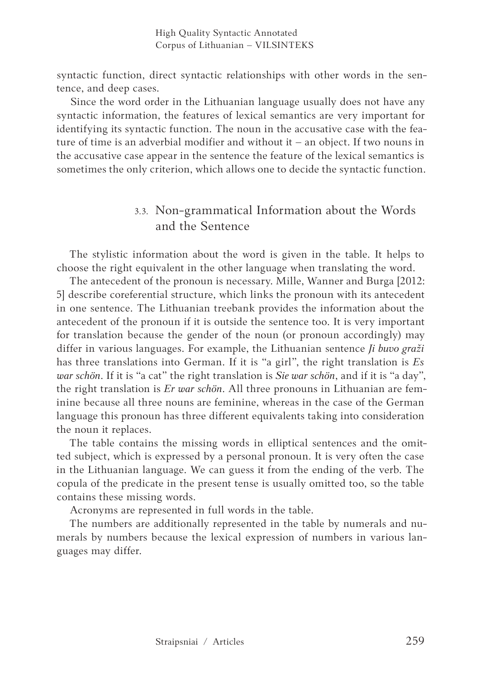syntactic function, direct syntactic relationships with other words in the sentence, and deep cases.

Since the word order in the Lithuanian language usually does not have any syntactic information, the features of lexical semantics are very important for identifying its syntactic function. The noun in the accusative case with the feature of time is an adverbial modifier and without it – an object. If two nouns in the accusative case appear in the sentence the feature of the lexical semantics is sometimes the only criterion, which allows one to decide the syntactic function.

# 3.3. Non-grammatical Information about the Words and the Sentence

The stylistic information about the word is given in the table. It helps to choose the right equivalent in the other language when translating the word.

The antecedent of the pronoun is necessary. Mille, Wanner and Burga [2012: 5] describe coreferential structure, which links the pronoun with its antecedent in one sentence. The Lithuanian treebank provides the information about the antecedent of the pronoun if it is outside the sentence too. It is very important for translation because the gender of the noun (or pronoun accordingly) may differ in various languages. For example, the Lithuanian sentence *Ji buvo graži* has three translations into German. If it is "a girl", the right translation is *Es war schön*. If it is "a cat" the right translation is *Sie war schön*, and if it is "a day", the right translation is *Er war schön*. All three pronouns in Lithuanian are feminine because all three nouns are feminine, whereas in the case of the German language this pronoun has three different equivalents taking into consideration the noun it replaces.

The table contains the missing words in elliptical sentences and the omitted subject, which is expressed by a personal pronoun. It is very often the case in the Lithuanian language. We can guess it from the ending of the verb. The copula of the predicate in the present tense is usually omitted too, so the table contains these missing words.

Acronyms are represented in full words in the table.

The numbers are additionally represented in the table by numerals and numerals by numbers because the lexical expression of numbers in various languages may differ.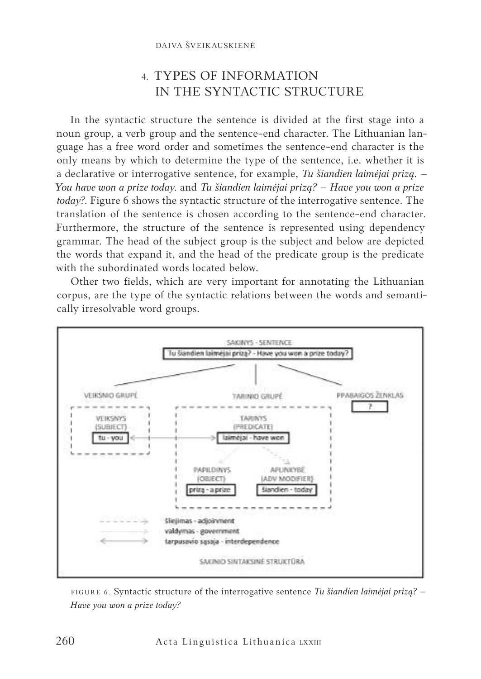# 4. TYPES OF INFORMATION IN THE SYNTACTIC STRUCTURE

In the syntactic structure the sentence is divided at the first stage into a noun group, a verb group and the sentence-end character. The Lithuanian language has a free word order and sometimes the sentence-end character is the only means by which to determine the type of the sentence, i.e. whether it is a declarative or interrogative sentence, for example, *Tu šiandien laimėjai prizą.* – *You have won a prize today.* and *Tu šiandien laimėjai prizą?* – *Have you won a prize today?.* Figure 6 shows the syntactic structure of the interrogative sentence. The translation of the sentence is chosen according to the sentence-end character. Furthermore, the structure of the sentence is represented using dependency grammar. The head of the subject group is the subject and below are depicted the words that expand it, and the head of the predicate group is the predicate with the subordinated words located below.

Other two fields, which are very important for annotating the Lithuanian corpus, are the type of the syntactic relations between the words and semantically irresolvable word groups.



FIGURE 6. Syntactic structure of the interrogative sentence *Tu šiandien laimėjai prizą? – Have you won a prize today?*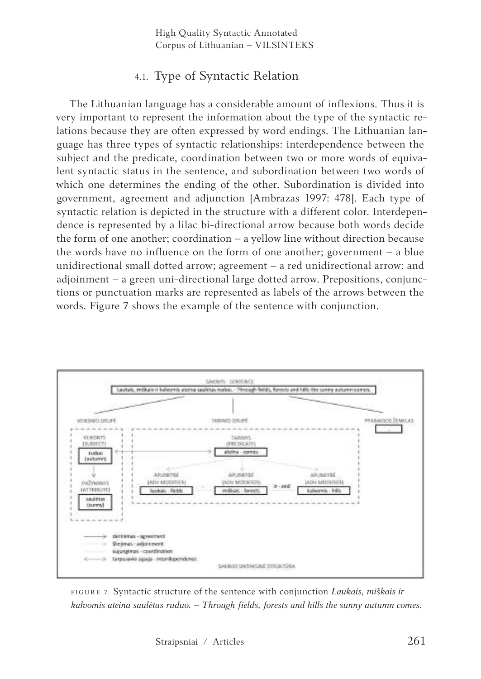High Quality Syntactic Annotated Corpus of Lithuanian – VILSINTEKS

### 4.1. Type of Syntactic Relation

The Lithuanian language has a considerable amount of inflexions. Thus it is very important to represent the information about the type of the syntactic relations because they are often expressed by word endings. The Lithuanian language has three types of syntactic relationships: interdependence between the subject and the predicate, coordination between two or more words of equivalent syntactic status in the sentence, and subordination between two words of which one determines the ending of the other. Subordination is divided into government, agreement and adjunction [Ambrazas 1997: 478]. Each type of syntactic relation is depicted in the structure with a different color. Interdependence is represented by a lilac bi-directional arrow because both words decide the form of one another; coordination – a yellow line without direction because the words have no influence on the form of one another; government  $-$  a blue unidirectional small dotted arrow; agreement – a red unidirectional arrow; and adjoinment – a green uni-directional large dotted arrow. Prepositions, conjunctions or punctuation marks are represented as labels of the arrows between the words. Figure 7 shows the example of the sentence with conjunction.



FIGURE 7. Syntactic structure of the sentence with conjunction *Laukais, miškais ir kalvomis ateina saulėtas ruduo. – Through fields, forests and hills the sunny autumn comes.*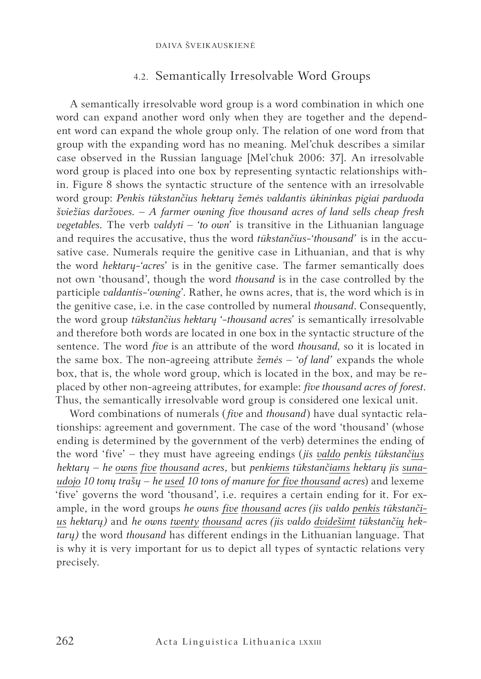#### DAIVA ŠVEIKAUSKIENĖ

## 4.2. Semantically Irresolvable Word Groups

A semantically irresolvable word group is a word combination in which one word can expand another word only when they are together and the dependent word can expand the whole group only. The relation of one word from that group with the expanding word has no meaning. Mel'chuk describes a similar case observed in the Russian language [Mel'chuk 2006: 37]. An irresolvable word group is placed into one box by representing syntactic relationships within. Figure 8 shows the syntactic structure of the sentence with an irresolvable word group: *Penkis tūkstančius hektarų žemės valdantis ūkininkas pigiai parduoda šviežias daržoves. – A farmer owning five thousand acres of land sells cheap fresh vegetables.* The verb *valdyti – 'to own'* is transitive in the Lithuanian language and requires the accusative, thus the word *tūkstančius-'thousand'* is in the accusative case. Numerals require the genitive case in Lithuanian, and that is why the word *hektarų-'acres'* is in the genitive case. The farmer semantically does not own 'thousand', though the word *thousand* is in the case controlled by the participle *valdantis-'owning'*. Rather, he owns acres, that is, the word which is in the genitive case, i.e. in the case controlled by numeral *thousand*. Consequently, the word group *tūkstančius hektarų '-thousand acres'* is semantically irresolvable and therefore both words are located in one box in the syntactic structure of the sentence. The word *five* is an attribute of the word *thousand,* so it is located in the same box. The non-agreeing attribute *žemės* – '*of land'* expands the whole box, that is, the whole word group, which is located in the box, and may be replaced by other non-agreeing attributes, for example: *five thousand acres of forest*. Thus, the semantically irresolvable word group is considered one lexical unit.

Word combinations of numerals (*five* and *thousand*) have dual syntactic relationships: agreement and government. The case of the word 'thousand' (whose ending is determined by the government of the verb) determines the ending of the word 'five' – they must have agreeing endings (*jis valdo penkis tūkstančius hektarų – he owns five thousand acres*, but *penkiems tūkstančiams hektarų jis sunaudojo 10 tonų trašų – he used 10 tons of manure for five thousand acres*) and lexeme 'five' governs the word 'thousand', i.e. requires a certain ending for it. For example, in the word groups *he owns five thousand acres (jis valdo penkis tūkstančius hektarų)* and *he owns twenty thousand acres (jis valdo dvidešimt tūkstančių hektarų)* the word *thousand* has different endings in the Lithuanian language. That is why it is very important for us to depict all types of syntactic relations very precisely.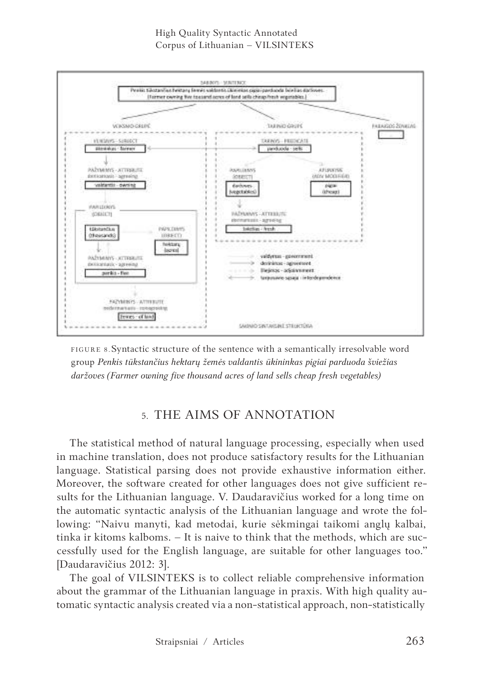#### High Quality Syntactic Annotated Corpus of Lithuanian – VILSINTEKS



FIGURE 8.Syntactic structure of the sentence with a semantically irresolvable word group *Penkis tūkstančius hektarų žemės valdantis ūkininkas pigiai parduoda šviežias daržoves (Farmer owning five thousand acres of land sells cheap fresh vegetables)*

# 5. THE AIMS OF ANNOTATION

The statistical method of natural language processing, especially when used in machine translation, does not produce satisfactory results for the Lithuanian language. Statistical parsing does not provide exhaustive information either. Moreover, the software created for other languages does not give sufficient results for the Lithuanian language. V. Daudaravičius worked for a long time on the automatic syntactic analysis of the Lithuanian language and wrote the following: "Naivu manyti, kad metodai, kurie sėkmingai taikomi anglų kalbai, tinka ir kitoms kalboms. – It is naive to think that the methods, which are successfully used for the English language, are suitable for other languages too." [Daudaravičius 2012: 3].

The goal of VILSINTEKS is to collect reliable comprehensive information about the grammar of the Lithuanian language in praxis. With high quality automatic syntactic analysis created via a non-statistical approach, non-statistically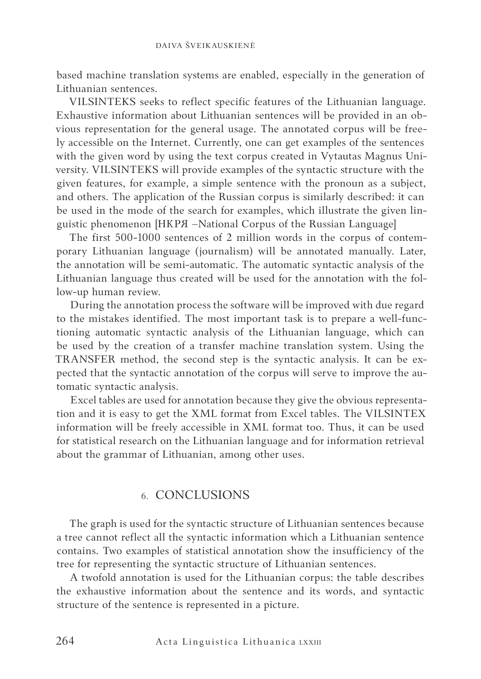based machine translation systems are enabled, especially in the generation of Lithuanian sentences.

VILSINTEKS seeks to reflect specific features of the Lithuanian language. Exhaustive information about Lithuanian sentences will be provided in an obvious representation for the general usage. The annotated corpus will be freely accessible on the Internet. Currently, one can get examples of the sentences with the given word by using the text corpus created in Vytautas Magnus University. VILSINTEKS will provide examples of the syntactic structure with the given features, for example, a simple sentence with the pronoun as a subject, and others. The application of the Russian corpus is similarly described: it can be used in the mode of the search for examples, which illustrate the given linguistic phenomenon [НКРЯ –National Corpus of the Russian Language]

The first 500-1000 sentences of 2 million words in the corpus of contemporary Lithuanian language (journalism) will be annotated manually. Later, the annotation will be semi-automatic. The automatic syntactic analysis of the Lithuanian language thus created will be used for the annotation with the follow-up human review.

During the annotation process the software will be improved with due regard to the mistakes identified. The most important task is to prepare a well-functioning automatic syntactic analysis of the Lithuanian language, which can be used by the creation of a transfer machine translation system. Using the TRANSFER method, the second step is the syntactic analysis. It can be expected that the syntactic annotation of the corpus will serve to improve the automatic syntactic analysis.

Excel tables are used for annotation because they give the obvious representation and it is easy to get the XML format from Excel tables. The VILSINTEX information will be freely accessible in XML format too. Thus, it can be used for statistical research on the Lithuanian language and for information retrieval about the grammar of Lithuanian, among other uses.

### 6. CONCLUSIONS

The graph is used for the syntactic structure of Lithuanian sentences because a tree cannot reflect all the syntactic information which a Lithuanian sentence contains. Two examples of statistical annotation show the insufficiency of the tree for representing the syntactic structure of Lithuanian sentences.

A twofold annotation is used for the Lithuanian corpus: the table describes the exhaustive information about the sentence and its words, and syntactic structure of the sentence is represented in a picture.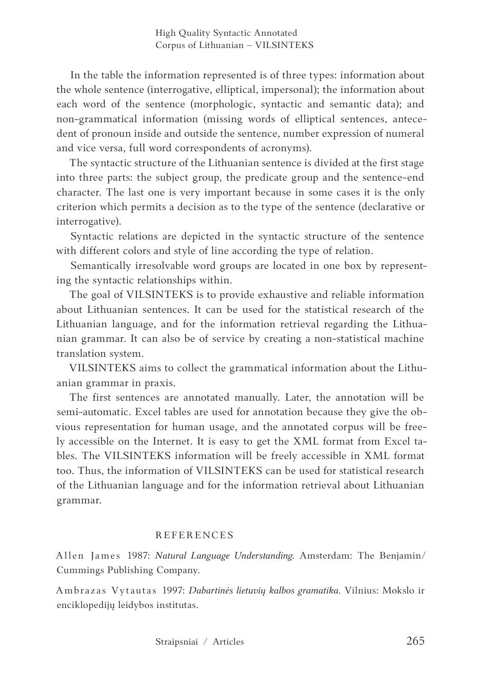In the table the information represented is of three types: information about the whole sentence (interrogative, elliptical, impersonal); the information about each word of the sentence (morphologic, syntactic and semantic data); and non-grammatical information (missing words of elliptical sentences, antecedent of pronoun inside and outside the sentence, number expression of numeral and vice versa, full word correspondents of acronyms).

The syntactic structure of the Lithuanian sentence is divided at the first stage into three parts: the subject group, the predicate group and the sentence-end character. The last one is very important because in some cases it is the only criterion which permits a decision as to the type of the sentence (declarative or interrogative).

Syntactic relations are depicted in the syntactic structure of the sentence with different colors and style of line according the type of relation.

Semantically irresolvable word groups are located in one box by representing the syntactic relationships within.

The goal of VILSINTEKS is to provide exhaustive and reliable information about Lithuanian sentences. It can be used for the statistical research of the Lithuanian language, and for the information retrieval regarding the Lithuanian grammar. It can also be of service by creating a non-statistical machine translation system.

VILSINTEKS aims to collect the grammatical information about the Lithuanian grammar in praxis.

The first sentences are annotated manually. Later, the annotation will be semi-automatic. Excel tables are used for annotation because they give the obvious representation for human usage, and the annotated corpus will be freely accessible on the Internet. It is easy to get the XML format from Excel tables. The VILSINTEKS information will be freely accessible in XML format too. Thus, the information of VILSINTEKS can be used for statistical research of the Lithuanian language and for the information retrieval about Lithuanian grammar.

### REFERENCES

Allen James 1987: *Natural Language Understanding.* Amsterdam: The Benjamin/ Cummings Publishing Company.

Ambrazas Vytautas 1997: *Dabartinės lietuvių kalbos gramatika.* Vilnius: Mokslo ir enciklopedijų leidybos institutas.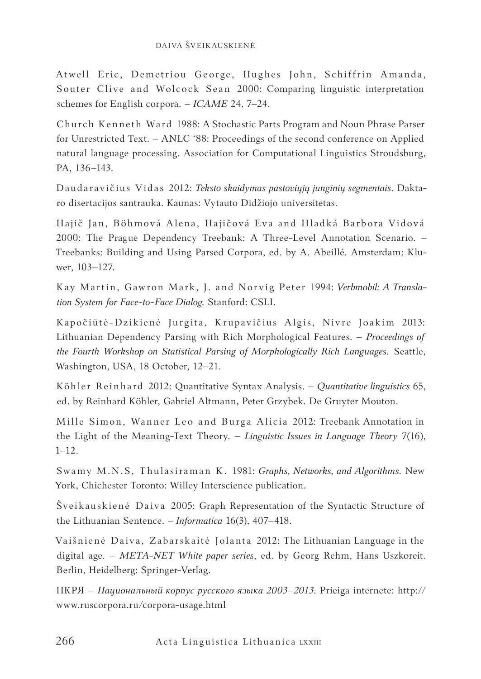#### DAIVA ŠVEIKAUSKIENĖ

Atwell Eric, Demetriou George, Hughes John, Schiffrin Amanda, Souter Clive and Wolcock Sean 2000: Comparing linguistic interpretation schemes for English corpora. – *ICAME* 24, 7–24.

Church Kenneth Ward 1988: A Stochastic Parts Program and Noun Phrase Parser for Unrestricted Text. – ANLC '88: Proceedings of the second conference on Applied natural language processing. Association for Computational Linguistics Stroudsburg, PA, 136–143.

Daudaravičius Vidas 2012: *Teksto skaidymas pastoviųjų junginių segmentais*. Daktaro disertacijos santrauka. Kaunas: Vytauto Didžiojo universitetas.

Hajič Jan, Böhmová Alena, Hajičová Eva and Hladká Barbora Vidová 2000: The Prague Dependency Treebank: A Three-Level Annotation Scenario. – Treebanks: Building and Using Parsed Corpora, ed. by A. Abeillé. Amsterdam: Kluwer, 103–127.

Kay Martin, Gawron Mark, J. and Nor vig Peter 1994: *Verbmobil: A Translation System for Face-to-Face Dialog.* Stanford: CSLI.

Kapočiūtė-Dzikienė Jurgita, Krupavičius Algis, Nivre Joakim 2013: Lithuanian Dependency Parsing with Rich Morphological Features. – *Proceedings of the Fourth Workshop on Statistical Parsing of Morphologically Rich Languages.* Seattle, Washington, USA, 18 October, 12–21.

Köhler Reinhard 2012: Quantitative Syntax Analysis. – *Quantitative linguistics* 65, ed. by Reinhard Köhler, Gabriel Altmann, Peter Grzybek. De Gruyter Mouton.

Mille Simon, Wanner Leo and Burga Alicia 2012: Treebank Annotation in the Light of the Meaning-Text Theory. – *Linguistic Issues in Language Theory* 7(16),  $1 - 12$ .

Swamy M.N.S, Тhulasiraman K. 1981: *Graphs, Networks, and Algorithms.* New York, Chichester Toronto: Willey Interscience publication.

Šveikauskienė Daiva 2005: Graph Representation of the Syntactic Structure of the Lithuanian Sentence. – *Informatica* 16(3), 407–418.

Vaišnienė Daiva, Zabarskaitė Jolanta 2012: The Lithuanian Language in the digital age. – *META-NET White paper series*, ed. by Georg Rehm, Hans Uszkoreit. Berlin, Heidelberg: Springer-Verlag.

НКРЯ – *Национальный корпус русского языка 2003–2013*. Prieiga internete: http:// www.ruscorpora.ru/corpora-usage.html